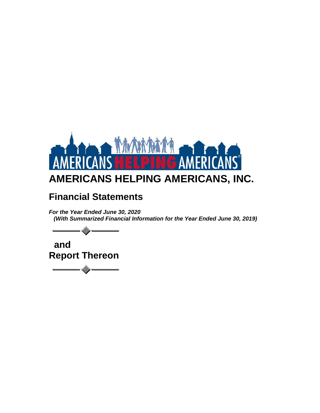

# **Financial Statements**

*For the Year Ended June 30, 2020 (With Summarized Financial Information for the Year Ended June 30, 2019)*

 **and Report Thereon**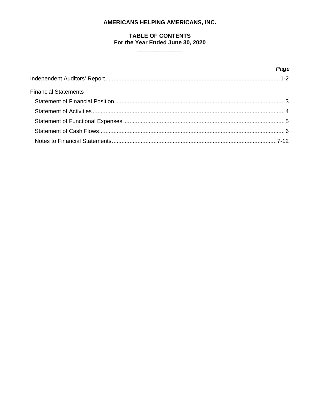# **TABLE OF CONTENTS** For the Year Ended June 30, 2020

 $\overline{\phantom{a}}$ 

|                             | Page |
|-----------------------------|------|
|                             |      |
| <b>Financial Statements</b> |      |
|                             |      |
|                             |      |
|                             |      |
|                             |      |
|                             |      |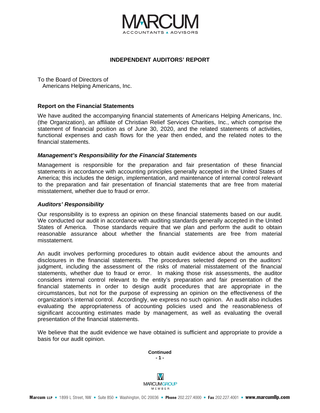

#### **INDEPENDENT AUDITORS' REPORT**

To the Board of Directors of Americans Helping Americans, Inc.

#### **Report on the Financial Statements**

We have audited the accompanying financial statements of Americans Helping Americans, Inc. (the Organization), an affiliate of Christian Relief Services Charities, Inc., which comprise the statement of financial position as of June 30, 2020, and the related statements of activities, functional expenses and cash flows for the year then ended, and the related notes to the financial statements.

#### *Management's Responsibility for the Financial Statements*

Management is responsible for the preparation and fair presentation of these financial statements in accordance with accounting principles generally accepted in the United States of America; this includes the design, implementation, and maintenance of internal control relevant to the preparation and fair presentation of financial statements that are free from material misstatement, whether due to fraud or error.

#### *Auditors' Responsibility*

Our responsibility is to express an opinion on these financial statements based on our audit. We conducted our audit in accordance with auditing standards generally accepted in the United States of America. Those standards require that we plan and perform the audit to obtain reasonable assurance about whether the financial statements are free from material misstatement.

An audit involves performing procedures to obtain audit evidence about the amounts and disclosures in the financial statements. The procedures selected depend on the auditors' judgment, including the assessment of the risks of material misstatement of the financial statements, whether due to fraud or error. In making those risk assessments, the auditor considers internal control relevant to the entity's preparation and fair presentation of the financial statements in order to design audit procedures that are appropriate in the circumstances, but not for the purpose of expressing an opinion on the effectiveness of the organization's internal control. Accordingly, we express no such opinion. An audit also includes evaluating the appropriateness of accounting policies used and the reasonableness of significant accounting estimates made by management, as well as evaluating the overall presentation of the financial statements.

We believe that the audit evidence we have obtained is sufficient and appropriate to provide a basis for our audit opinion.

> **Continued - 1 -**

M **MARCUMGROUP** MEMBER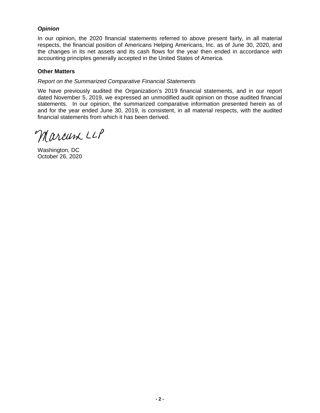# *Opinion*

In our opinion, the 2020 financial statements referred to above present fairly, in all material respects, the financial position of Americans Helping Americans, Inc. as of June 30, 2020, and the changes in its net assets and its cash flows for the year then ended in accordance with accounting principles generally accepted in the United States of America.

# **Other Matters**

## *Report on the Summarized Comparative Financial Statements*

We have previously audited the Organization's 2019 financial statements, and in our report dated November 5, 2019, we expressed an unmodified audit opinion on those audited financial statements. In our opinion, the summarized comparative information presented herein as of and for the year ended June 30, 2019, is consistent, in all material respects, with the audited financial statements from which it has been derived.

Marcum LLP

Washington, DC October 26, 2020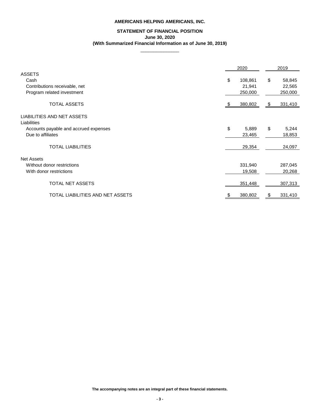# **STATEMENT OF FINANCIAL POSITION June 30, 2020 (With Summarized Financial Information as of June 30, 2019)**

 $\overline{\phantom{a}}$  , where  $\overline{\phantom{a}}$ 

|                                                  | 2020          |                           | 2019    |
|--------------------------------------------------|---------------|---------------------------|---------|
| <b>ASSETS</b>                                    |               |                           |         |
| Cash                                             | \$<br>108,861 | $\boldsymbol{\mathsf{S}}$ | 58,845  |
| Contributions receivable, net                    | 21,941        |                           | 22,565  |
| Program related investment                       | 250,000       |                           | 250,000 |
| <b>TOTAL ASSETS</b>                              | 380,802       | \$                        | 331,410 |
| <b>LIABILITIES AND NET ASSETS</b><br>Liabilities |               |                           |         |
| Accounts payable and accrued expenses            | \$<br>5,889   | $\sqrt[6]{\frac{1}{2}}$   | 5,244   |
| Due to affiliates                                | 23,465        |                           | 18,853  |
| <b>TOTAL LIABILITIES</b>                         | 29,354        |                           | 24,097  |
| <b>Net Assets</b>                                |               |                           |         |
| Without donor restrictions                       | 331,940       |                           | 287,045 |
| With donor restrictions                          | 19,508        |                           | 20,268  |
| <b>TOTAL NET ASSETS</b>                          | 351,448       |                           | 307,313 |
| TOTAL LIABILITIES AND NET ASSETS                 | 380,802       | \$                        | 331,410 |

**The accompanying notes are an integral part of these financial statements.**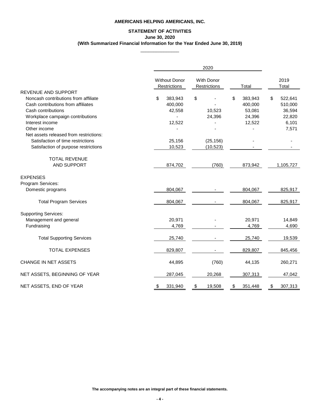# **STATEMENT OF ACTIVITIES June 30, 2020 (With Summarized Financial Information for the Year Ended June 30, 2019)**

 $\overline{\phantom{a}}$  , where  $\overline{\phantom{a}}$ 

|                                        |                                      | 2020                              |               |               |
|----------------------------------------|--------------------------------------|-----------------------------------|---------------|---------------|
|                                        | <b>Without Donor</b><br>Restrictions | <b>With Donor</b><br>Restrictions | Total         | 2019<br>Total |
| <b>REVENUE AND SUPPORT</b>             |                                      |                                   |               |               |
| Noncash contributions from affiliate   | \$<br>383,943                        | \$                                | \$<br>383,943 | 522,641<br>\$ |
| Cash contributions from affiliates     | 400,000                              |                                   | 400,000       | 510,000       |
| Cash contributions                     | 42,558                               | 10,523                            | 53,081        | 36,594        |
| Workplace campaign contributions       |                                      | 24,396                            | 24,396        | 22,820        |
| Interest income                        | 12,522                               |                                   | 12,522        | 6,101         |
| Other income                           |                                      |                                   |               | 7,571         |
| Net assets released from restrictions: |                                      |                                   |               |               |
| Satisfaction of time restrictions      | 25,156                               | (25, 156)                         |               |               |
| Satisfaction of purpose restrictions   | 10,523                               | (10, 523)                         |               |               |
| <b>TOTAL REVENUE</b>                   |                                      |                                   |               |               |
| AND SUPPORT                            | 874,702                              | (760)                             | 873,942       | 1,105,727     |
| <b>EXPENSES</b>                        |                                      |                                   |               |               |
| Program Services:                      |                                      |                                   |               |               |
| Domestic programs                      | 804,067                              |                                   | 804,067       | 825,917       |
| <b>Total Program Services</b>          | 804,067                              |                                   | 804,067       | 825,917       |
| <b>Supporting Services:</b>            |                                      |                                   |               |               |
| Management and general                 | 20,971                               |                                   | 20,971        | 14,849        |
| Fundraising                            | 4,769                                |                                   | 4,769         | 4,690         |
| <b>Total Supporting Services</b>       | 25,740                               |                                   | 25,740        | 19,539        |
| <b>TOTAL EXPENSES</b>                  | 829,807                              |                                   | 829,807       | 845,456       |
| <b>CHANGE IN NET ASSETS</b>            | 44,895                               | (760)                             | 44,135        | 260,271       |
| NET ASSETS, BEGINNING OF YEAR          | 287,045                              | 20,268                            | 307,313       | 47,042        |
| NET ASSETS, END OF YEAR                | 331,940<br>S.                        | $\frac{1}{2}$<br>19,508           | 351,448<br>\$ | 307,313<br>\$ |

**The accompanying notes are an integral part of these financial statements.**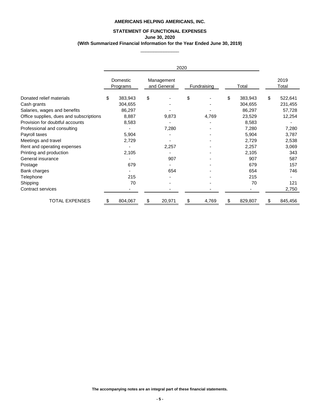# **STATEMENT OF FUNCTIONAL EXPENSES June 30, 2020 (With Summarized Financial Information for the Year Ended June 30, 2019)**

 $\overline{\phantom{a}}$  , where  $\overline{\phantom{a}}$ 

|                                         |     |                      |                           | 2020 |             |    |         |                           |               |
|-----------------------------------------|-----|----------------------|---------------------------|------|-------------|----|---------|---------------------------|---------------|
|                                         |     | Domestic<br>Programs | Management<br>and General |      | Fundraising |    | Total   |                           | 2019<br>Total |
| Donated relief materials                | \$  | 383,943              | \$                        | \$   |             | \$ | 383,943 | $\boldsymbol{\mathsf{S}}$ | 522,641       |
| Cash grants                             |     | 304,655              |                           |      |             |    | 304,655 |                           | 231,455       |
| Salaries, wages and benefits            |     | 86,297               |                           |      |             |    | 86,297  |                           | 57,728        |
| Office supplies, dues and subscriptions |     | 8,887                | 9,873                     |      | 4,769       |    | 23,529  |                           | 12,254        |
| Provision for doubtful accounts         |     | 8,583                |                           |      |             |    | 8,583   |                           |               |
| Professional and consulting             |     |                      | 7,280                     |      |             |    | 7,280   |                           | 7,280         |
| Payroll taxes                           |     | 5,904                |                           |      |             |    | 5,904   |                           | 3,787         |
| Meetings and travel                     |     | 2,729                |                           |      |             |    | 2,729   |                           | 2,538         |
| Rent and operating expenses             |     |                      | 2,257                     |      |             |    | 2,257   |                           | 3,069         |
| Printing and production                 |     | 2,105                |                           |      |             |    | 2,105   |                           | 343           |
| General insurance                       |     |                      | 907                       |      |             |    | 907     |                           | 587           |
| Postage                                 |     | 679                  |                           |      |             |    | 679     |                           | 157           |
| Bank charges                            |     |                      | 654                       |      |             |    | 654     |                           | 746           |
| Telephone                               |     | 215                  |                           |      |             |    | 215     |                           |               |
| Shipping                                |     | 70                   |                           |      |             |    | 70      |                           | 121           |
| Contract services                       |     |                      |                           |      |             |    |         |                           | 2,750         |
| <b>TOTAL EXPENSES</b>                   | \$. | 804,067              | \$<br>20,971              | \$   | 4,769       | S  | 829,807 | S.                        | 845,456       |

**The accompanying notes are an integral part of these financial statements.**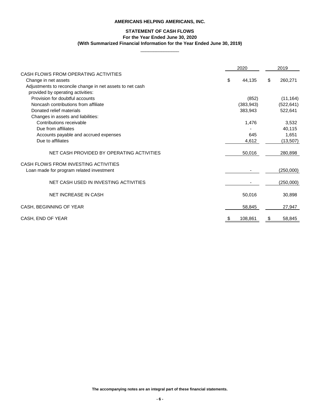# **STATEMENT OF CASH FLOWS**

**For the Year Ended June 30, 2020**

# **(With Summarized Financial Information for the Year Ended June 30, 2019)**

 $\overline{\phantom{a}}$  , where  $\overline{\phantom{a}}$ 

|                                                           | 2020         |                | 2019       |
|-----------------------------------------------------------|--------------|----------------|------------|
| CASH FLOWS FROM OPERATING ACTIVITIES                      |              |                |            |
| Change in net assets                                      | \$<br>44,135 | $\mathfrak{L}$ | 260,271    |
| Adjustments to reconcile change in net assets to net cash |              |                |            |
| provided by operating activities:                         |              |                |            |
| Provision for doubtful accounts                           | (852)        |                | (11, 164)  |
| Noncash contributions from affiliate                      | (383, 943)   |                | (522, 641) |
| Donated relief materials                                  | 383,943      |                | 522,641    |
| Changes in assets and liabilities:                        |              |                |            |
| Contributions receivable                                  | 1,476        |                | 3,532      |
| Due from affiliates                                       |              |                | 40,115     |
| Accounts payable and accrued expenses                     | 645          |                | 1,651      |
| Due to affiliates                                         | 4,612        |                | (13,507)   |
| NET CASH PROVIDED BY OPERATING ACTIVITIES                 | 50,016       |                | 280,898    |
| CASH FLOWS FROM INVESTING ACTIVITIES                      |              |                |            |
| Loan made for program related investment                  |              |                | (250,000)  |
| NET CASH USED IN INVESTING ACTIVITIES                     |              |                | (250,000)  |
| <b>NET INCREASE IN CASH</b>                               | 50,016       |                | 30,898     |
| CASH, BEGINNING OF YEAR                                   | 58,845       |                | 27,947     |
| CASH, END OF YEAR                                         | 108,861      | \$             | 58,845     |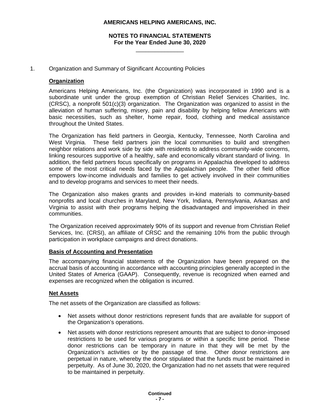# **NOTES TO FINANCIAL STATEMENTS For the Year Ended June 30, 2020**

\_\_\_\_\_\_\_\_\_\_\_\_\_\_\_

## 1. Organization and Summary of Significant Accounting Policies

## **Organization**

Americans Helping Americans, Inc. (the Organization) was incorporated in 1990 and is a subordinate unit under the group exemption of Christian Relief Services Charities, Inc. (CRSC), a nonprofit 501(c)(3) organization. The Organization was organized to assist in the alleviation of human suffering, misery, pain and disability by helping fellow Americans with basic necessities, such as shelter, home repair, food, clothing and medical assistance throughout the United States.

The Organization has field partners in Georgia, Kentucky, Tennessee, North Carolina and West Virginia. These field partners join the local communities to build and strengthen neighbor relations and work side by side with residents to address community-wide concerns, linking resources supportive of a healthy, safe and economically vibrant standard of living. In addition, the field partners focus specifically on programs in Appalachia developed to address some of the most critical needs faced by the Appalachian people. The other field office empowers low-income individuals and families to get actively involved in their communities and to develop programs and services to meet their needs.

The Organization also makes grants and provides in-kind materials to community-based nonprofits and local churches in Maryland, New York, Indiana, Pennsylvania, Arkansas and Virginia to assist with their programs helping the disadvantaged and impoverished in their communities.

The Organization received approximately 90% of its support and revenue from Christian Relief Services, Inc. (CRSI), an affiliate of CRSC and the remaining 10% from the public through participation in workplace campaigns and direct donations.

#### **Basis of Accounting and Presentation**

The accompanying financial statements of the Organization have been prepared on the accrual basis of accounting in accordance with accounting principles generally accepted in the United States of America (GAAP). Consequently, revenue is recognized when earned and expenses are recognized when the obligation is incurred.

#### **Net Assets**

The net assets of the Organization are classified as follows:

- Net assets without donor restrictions represent funds that are available for support of the Organization's operations.
- Net assets with donor restrictions represent amounts that are subject to donor-imposed restrictions to be used for various programs or within a specific time period. These donor restrictions can be temporary in nature in that they will be met by the Organization's activities or by the passage of time. Other donor restrictions are perpetual in nature, whereby the donor stipulated that the funds must be maintained in perpetuity. As of June 30, 2020, the Organization had no net assets that were required to be maintained in perpetuity.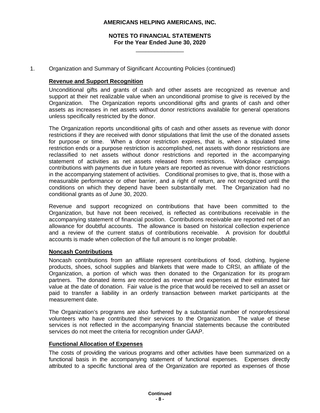# **NOTES TO FINANCIAL STATEMENTS For the Year Ended June 30, 2020**

\_\_\_\_\_\_\_\_\_\_\_\_\_\_\_

1. Organization and Summary of Significant Accounting Policies (continued)

## **Revenue and Support Recognition**

Unconditional gifts and grants of cash and other assets are recognized as revenue and support at their net realizable value when an unconditional promise to give is received by the Organization. The Organization reports unconditional gifts and grants of cash and other assets as increases in net assets without donor restrictions available for general operations unless specifically restricted by the donor.

The Organization reports unconditional gifts of cash and other assets as revenue with donor restrictions if they are received with donor stipulations that limit the use of the donated assets for purpose or time. When a donor restriction expires, that is, when a stipulated time restriction ends or a purpose restriction is accomplished, net assets with donor restrictions are reclassified to net assets without donor restrictions and reported in the accompanying statement of activities as net assets released from restrictions. Workplace campaign contributions with payments due in future years are reported as revenue with donor restrictions in the accompanying statement of activities. Conditional promises to give, that is, those with a measurable performance or other barrier, and a right of return, are not recognized until the conditions on which they depend have been substantially met. The Organization had no conditional grants as of June 30, 2020.

Revenue and support recognized on contributions that have been committed to the Organization, but have not been received, is reflected as contributions receivable in the accompanying statement of financial position. Contributions receivable are reported net of an allowance for doubtful accounts. The allowance is based on historical collection experience and a review of the current status of contributions receivable. A provision for doubtful accounts is made when collection of the full amount is no longer probable.

### **Noncash Contributions**

Noncash contributions from an affiliate represent contributions of food, clothing, hygiene products, shoes, school supplies and blankets that were made to CRSI, an affiliate of the Organization, a portion of which was then donated to the Organization for its program partners. The donated items are recorded as revenue and expenses at their estimated fair value at the date of donation. Fair value is the price that would be received to sell an asset or paid to transfer a liability in an orderly transaction between market participants at the measurement date.

The Organization's programs are also furthered by a substantial number of nonprofessional volunteers who have contributed their services to the Organization. The value of these services is not reflected in the accompanying financial statements because the contributed services do not meet the criteria for recognition under GAAP.

### **Functional Allocation of Expenses**

The costs of providing the various programs and other activities have been summarized on a functional basis in the accompanying statement of functional expenses. Expenses directly attributed to a specific functional area of the Organization are reported as expenses of those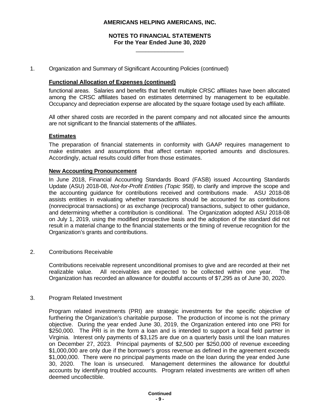# **NOTES TO FINANCIAL STATEMENTS For the Year Ended June 30, 2020**

\_\_\_\_\_\_\_\_\_\_\_\_\_\_\_

1. Organization and Summary of Significant Accounting Policies (continued)

#### **Functional Allocation of Expenses (continued)**

functional areas. Salaries and benefits that benefit multiple CRSC affiliates have been allocated among the CRSC affiliates based on estimates determined by management to be equitable. Occupancy and depreciation expense are allocated by the square footage used by each affiliate.

All other shared costs are recorded in the parent company and not allocated since the amounts are not significant to the financial statements of the affiliates.

#### **Estimates**

The preparation of financial statements in conformity with GAAP requires management to make estimates and assumptions that affect certain reported amounts and disclosures. Accordingly, actual results could differ from those estimates.

#### **New Accounting Pronouncement**

In June 2018, Financial Accounting Standards Board (FASB) issued Accounting Standards Update (ASU) 2018-08, *Not-for-Profit Entities (Topic 958)*, to clarify and improve the scope and the accounting guidance for contributions received and contributions made. ASU 2018-08 assists entities in evaluating whether transactions should be accounted for as contributions (nonreciprocal transactions) or as exchange (reciprocal) transactions, subject to other guidance, and determining whether a contribution is conditional. The Organization adopted ASU 2018-08 on July 1, 2019, using the modified prospective basis and the adoption of the standard did not result in a material change to the financial statements or the timing of revenue recognition for the Organization's grants and contributions.

2. Contributions Receivable

Contributions receivable represent unconditional promises to give and are recorded at their net realizable value. All receivables are expected to be collected within one year. The Organization has recorded an allowance for doubtful accounts of \$7,295 as of June 30, 2020.

#### 3. Program Related Investment

Program related investments (PRI) are strategic investments for the specific objective of furthering the Organization's charitable purpose. The production of income is not the primary objective. During the year ended June 30, 2019, the Organization entered into one PRI for \$250,000. The PRI is in the form a loan and is intended to support a local field partner in Virginia. Interest only payments of \$3,125 are due on a quarterly basis until the loan matures on December 27, 2023. Principal payments of \$2,500 per \$250,000 of revenue exceeding \$1,000,000 are only due if the borrower's gross revenue as defined in the agreement exceeds \$1,000,000. There were no principal payments made on the loan during the year ended June 30, 2020. The loan is unsecured. Management determines the allowance for doubtful accounts by identifying troubled accounts. Program related investments are written off when deemed uncollectible.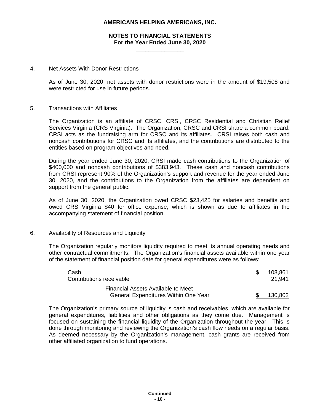# **NOTES TO FINANCIAL STATEMENTS For the Year Ended June 30, 2020**

\_\_\_\_\_\_\_\_\_\_\_\_\_\_\_

#### 4. Net Assets With Donor Restrictions

As of June 30, 2020, net assets with donor restrictions were in the amount of \$19,508 and were restricted for use in future periods.

#### 5. Transactions with Affiliates

The Organization is an affiliate of CRSC, CRSI, CRSC Residential and Christian Relief Services Virginia (CRS Virginia). The Organization, CRSC and CRSI share a common board. CRSI acts as the fundraising arm for CRSC and its affiliates. CRSI raises both cash and noncash contributions for CRSC and its affiliates, and the contributions are distributed to the entities based on program objectives and need.

During the year ended June 30, 2020, CRSI made cash contributions to the Organization of \$400,000 and noncash contributions of \$383,943. These cash and noncash contributions from CRSI represent 90% of the Organization's support and revenue for the year ended June 30, 2020, and the contributions to the Organization from the affiliates are dependent on support from the general public.

As of June 30, 2020, the Organization owed CRSC \$23,425 for salaries and benefits and owed CRS Virginia \$40 for office expense, which is shown as due to affiliates in the accompanying statement of financial position.

#### 6. Availability of Resources and Liquidity

The Organization regularly monitors liquidity required to meet its annual operating needs and other contractual commitments. The Organization's financial assets available within one year of the statement of financial position date for general expenditures were as follows:

| Cash                                        | 108.861 |
|---------------------------------------------|---------|
| Contributions receivable                    | 21,941  |
| Financial Assets Available to Meet          |         |
| <b>General Expenditures Within One Year</b> | 130.802 |

The Organization's primary source of liquidity is cash and receivables, which are available for general expenditures, liabilities and other obligations as they come due. Management is focused on sustaining the financial liquidity of the Organization throughout the year. This is done through monitoring and reviewing the Organization's cash flow needs on a regular basis. As deemed necessary by the Organization's management, cash grants are received from other affiliated organization to fund operations.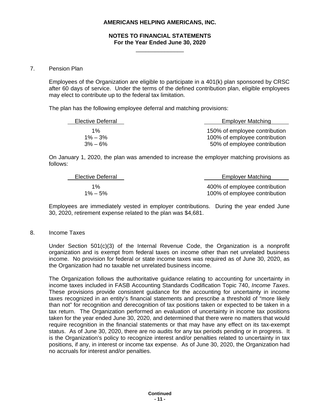# **NOTES TO FINANCIAL STATEMENTS For the Year Ended June 30, 2020**

\_\_\_\_\_\_\_\_\_\_\_\_\_\_\_

#### 7. Pension Plan

Employees of the Organization are eligible to participate in a 401(k) plan sponsored by CRSC after 60 days of service. Under the terms of the defined contribution plan, eligible employees may elect to contribute up to the federal tax limitation.

The plan has the following employee deferral and matching provisions:

| Elective Deferral | <b>Employer Matching</b>      |
|-------------------|-------------------------------|
| 1%                | 150% of employee contribution |
| $1\% - 3\%$       | 100% of employee contribution |
| $3\% - 6\%$       | 50% of employee contribution  |

On January 1, 2020, the plan was amended to increase the employer matching provisions as follows:

| Elective Deferral | <b>Employer Matching</b>      |
|-------------------|-------------------------------|
| $1\%$             | 400% of employee contribution |
| $1\% - 5\%$       | 100% of employee contribution |

Employees are immediately vested in employer contributions. During the year ended June 30, 2020, retirement expense related to the plan was \$4,681.

#### 8. Income Taxes

Under Section 501(c)(3) of the Internal Revenue Code, the Organization is a nonprofit organization and is exempt from federal taxes on income other than net unrelated business income. No provision for federal or state income taxes was required as of June 30, 2020, as the Organization had no taxable net unrelated business income.

The Organization follows the authoritative guidance relating to accounting for uncertainty in income taxes included in FASB Accounting Standards Codification Topic 740, *Income Taxes*. These provisions provide consistent guidance for the accounting for uncertainty in income taxes recognized in an entity's financial statements and prescribe a threshold of "more likely than not" for recognition and derecognition of tax positions taken or expected to be taken in a tax return. The Organization performed an evaluation of uncertainty in income tax positions taken for the year ended June 30, 2020, and determined that there were no matters that would require recognition in the financial statements or that may have any effect on its tax-exempt status. As of June 30, 2020, there are no audits for any tax periods pending or in progress. It is the Organization's policy to recognize interest and/or penalties related to uncertainty in tax positions, if any, in interest or income tax expense. As of June 30, 2020, the Organization had no accruals for interest and/or penalties.